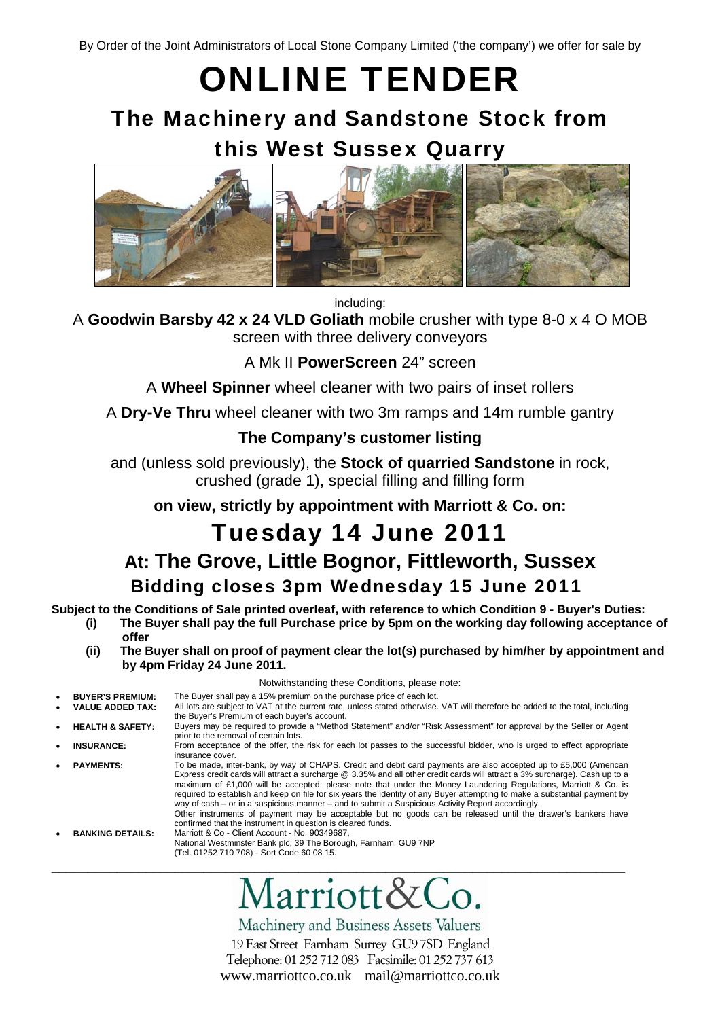ONLINE TENDER

# The Machinery and Sandstone Stock from this West Sussex Quarry



including:

A **Goodwin Barsby 42 x 24 VLD Goliath** mobile crusher with type 8-0 x 4 O MOB screen with three delivery conveyors

A Mk II **PowerScreen** 24" screen

A **Wheel Spinner** wheel cleaner with two pairs of inset rollers

A **Dry-Ve Thru** wheel cleaner with two 3m ramps and 14m rumble gantry

## **The Company's customer listing**

and (unless sold previously), the **Stock of quarried Sandstone** in rock, crushed (grade 1), special filling and filling form

**on view, strictly by appointment with Marriott & Co. on:** 

# Tuesday 14 June 2011 **At: The Grove, Little Bognor, Fittleworth, Sussex**  Bidding closes 3pm Wednesday 15 June 2011

**Subject to the Conditions of Sale printed overleaf, with reference to which Condition 9 - Buyer's Duties:** 

- **(i) The Buyer shall pay the full Purchase price by 5pm on the working day following acceptance of offer** 
	- **(ii) The Buyer shall on proof of payment clear the lot(s) purchased by him/her by appointment and by 4pm Friday 24 June 2011.**

Notwithstanding these Conditions, please note:

| $\bullet$ | <b>BUYER'S PREMIUM:</b>     | The Buyer shall pay a 15% premium on the purchase price of each lot.                                                                                                                                                                                                                                                                                                                                                                                                                                                                                                                                                                                                                                                                                                               |
|-----------|-----------------------------|------------------------------------------------------------------------------------------------------------------------------------------------------------------------------------------------------------------------------------------------------------------------------------------------------------------------------------------------------------------------------------------------------------------------------------------------------------------------------------------------------------------------------------------------------------------------------------------------------------------------------------------------------------------------------------------------------------------------------------------------------------------------------------|
|           | <b>VALUE ADDED TAX:</b>     | All lots are subject to VAT at the current rate, unless stated otherwise. VAT will therefore be added to the total, including<br>the Buyer's Premium of each buyer's account.                                                                                                                                                                                                                                                                                                                                                                                                                                                                                                                                                                                                      |
|           | <b>HEALTH &amp; SAFETY:</b> | Buyers may be required to provide a "Method Statement" and/or "Risk Assessment" for approval by the Seller or Agent<br>prior to the removal of certain lots.                                                                                                                                                                                                                                                                                                                                                                                                                                                                                                                                                                                                                       |
|           | <b>INSURANCE:</b>           | From acceptance of the offer, the risk for each lot passes to the successful bidder, who is urged to effect appropriate<br>insurance cover.                                                                                                                                                                                                                                                                                                                                                                                                                                                                                                                                                                                                                                        |
|           | <b>PAYMENTS:</b>            | To be made, inter-bank, by way of CHAPS. Credit and debit card payments are also accepted up to £5,000 (American<br>Express credit cards will attract a surcharge @ 3.35% and all other credit cards will attract a 3% surcharge). Cash up to a<br>maximum of £1,000 will be accepted; please note that under the Money Laundering Regulations, Marriott & Co. is<br>required to establish and keep on file for six years the identity of any Buyer attempting to make a substantial payment by<br>way of cash – or in a suspicious manner – and to submit a Suspicious Activity Report accordingly.<br>Other instruments of payment may be acceptable but no goods can be released until the drawer's bankers have<br>confirmed that the instrument in question is cleared funds. |
|           | <b>BANKING DETAILS:</b>     | Marriott & Co - Client Account - No. 90349687,<br>National Westminster Bank plc, 39 The Borough, Farnham, GU9 7NP<br>(Tel. 01252 710 708) - Sort Code 60 08 15.                                                                                                                                                                                                                                                                                                                                                                                                                                                                                                                                                                                                                    |



Machinery and Business Assets Valuers 19 East Street Farnham Surrey GU9 7SD England Telephone: 01 252 712 083 Facsimile: 01 252 737 613 www.marriottco.co.uk mail@marriottco.co.uk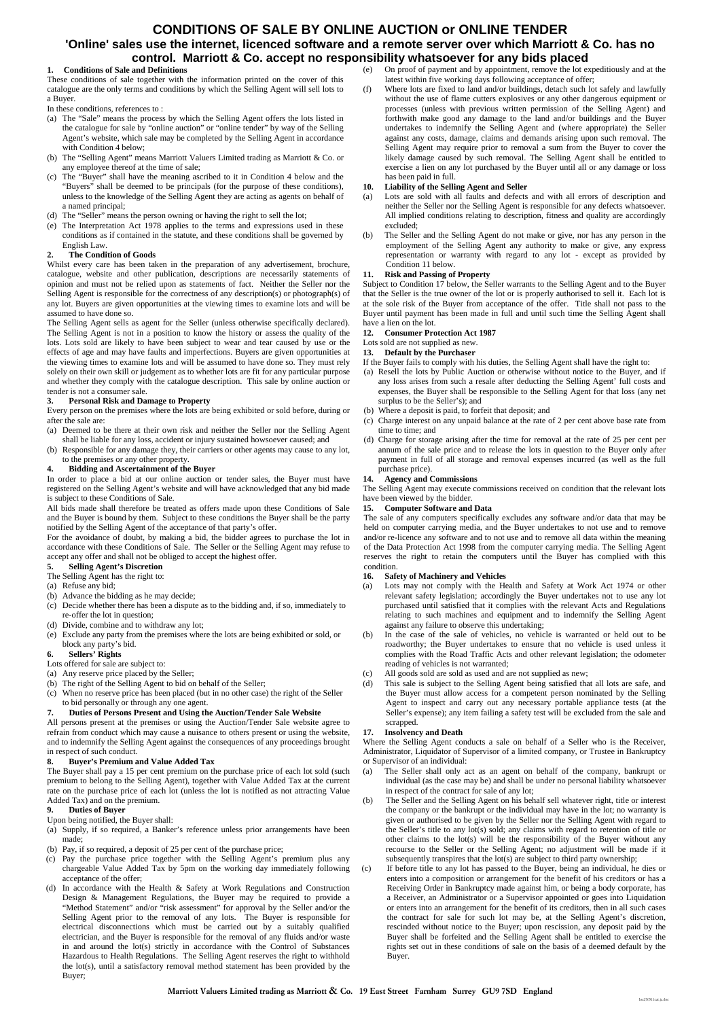### **CONDITIONS OF SALE BY ONLINE AUCTION or ONLINE TENDER 'Online' sales use the internet, licenced software and a remote server over which Marriott & Co. has no control. Marriott & Co. accept no responsibility whatsoever for any bids placed**

#### **1. Conditions of Sale and Definitions**

These conditions of sale together with the information printed on the cover of this catalogue are the only terms and conditions by which the Selling Agent will sell lots to a Buyer.

- In these conditions, references to :
- (a) The "Sale" means the process by which the Selling Agent offers the lots listed in the catalogue for sale by "online auction" or "online tender" by way of the Selling Agent's website, which sale may be completed by the Selling Agent in accordance with Condition 4 below;
- (b) The "Selling Agent" means Marriott Valuers Limited trading as Marriott & Co. or any employee thereof at the time of sale;
- (c) The "Buyer" shall have the meaning ascribed to it in Condition 4 below and the "Buyers" shall be deemed to be principals (for the purpose of these conditions), unless to the knowledge of the Selling Agent they are acting as agents on behalf of a named principal;
- (d) The "Seller" means the person owning or having the right to sell the lot;
- (e) The Interpretation Act 1978 applies to the terms and expressions used in these conditions as if contained in the statute, and these conditions shall be governed by English Law.

#### **2. The Condition of Goods**

Whilst every care has been taken in the preparation of any advertisement, brochure, catalogue, website and other publication, descriptions are necessarily statements of opinion and must not be relied upon as statements of fact. Neither the Seller nor the Selling Agent is responsible for the correctness of any description(s) or photograph(s) of any lot. Buyers are given opportunities at the viewing times to examine lots and will be assumed to have done so.

The Selling Agent sells as agent for the Seller (unless otherwise specifically declared). The Selling Agent is not in a position to know the history or assess the quality of the lots. Lots sold are likely to have been subject to wear and tear caused by use or the effects of age and may have faults and imperfections. Buyers are given opportunities at the viewing times to examine lots and will be assumed to have done so. They must rely solely on their own skill or judgement as to whether lots are fit for any particular purpose and whether they comply with the catalogue description. This sale by online auction or tender is not a consumer sale.

#### **3. Personal Risk and Damage to Property**

Every person on the premises where the lots are being exhibited or sold before, during or after the sale are:

- (a) Deemed to be there at their own risk and neither the Seller nor the Selling Agent shall be liable for any loss, accident or injury sustained howsoever caused; and
- (b) Responsible for any damage they, their carriers or other agents may cause to any lot, to the premises or any other property.

#### **4. Bidding and Ascertainment of the Buyer**

In order to place a bid at our online auction or tender sales, the Buyer must have registered on the Selling Agent's website and will have acknowledged that any bid made is subject to these Conditions of Sale.

All bids made shall therefore be treated as offers made upon these Conditions of Sale and the Buyer is bound by them. Subject to these conditions the Buyer shall be the party notified by the Selling Agent of the acceptance of that party's offer.

For the avoidance of doubt, by making a bid, the bidder agrees to purchase the lot in accordance with these Conditions of Sale. The Seller or the Selling Agent may refuse to accept any offer and shall not be obliged to accept the highest offer.

#### **5. Selling Agent's Discretion**

- The Selling Agent has the right to:
- (a) Refuse any bid;
- (b) Advance the bidding as he may decide;
- (c) Decide whether there has been a dispute as to the bidding and, if so, immediately to re-offer the lot in question;
- (d) Divide, combine and to withdraw any lot;
- (e) Exclude any party from the premises where the lots are being exhibited or sold, or block any party's bid.

#### **6. Sellers' Rights**

- Lots offered for sale are subject to:
- (a) Any reserve price placed by the Seller;
- (b) The right of the Selling Agent to bid on behalf of the Seller;
- (c) When no reserve price has been placed (but in no other case) the right of the Seller to bid personally or through any one agent.
- **7. Duties of Persons Present and Using the Auction/Tender Sale Website**

#### All persons present at the premises or using the Auction/Tender Sale website agree to refrain from conduct which may cause a nuisance to others present or using the website, and to indemnify the Selling Agent against the consequences of any proceedings brought in respect of such conduct.

#### **8. Buyer's Premium and Value Added Tax**

The Buyer shall pay a 15 per cent premium on the purchase price of each lot sold (such premium to belong to the Selling Agent), together with Value Added Tax at the current rate on the purchase price of each lot (unless the lot is notified as not attracting Value Added Tax) and on the premium.

#### **9. Duties of Buyer**

- Upon being notified, the Buyer shall:
- (a) Supply, if so required, a Banker's reference unless prior arrangements have been made;
- (b) Pay, if so required, a deposit of 25 per cent of the purchase price;
- (c) Pay the purchase price together with the Selling Agent's premium plus any chargeable Value Added Tax by 5pm on the working day immediately following acceptance of the offer;
- (d) In accordance with the Health & Safety at Work Regulations and Construction Design & Management Regulations, the Buyer may be required to provide a "Method Statement" and/or "risk assessment" for approval by the Seller and/or the Selling Agent prior to the removal of any lots. The Buyer is responsible for electrical disconnections which must be carried out by a suitably qualified electrician, and the Buyer is responsible for the removal of any fluids and/or waste in and around the lot(s) strictly in accordance with the Control of Substances Hazardous to Health Regulations. The Selling Agent reserves the right to withhold the lot(s), until a satisfactory removal method statement has been provided by the Buyer;
- (e) On proof of payment and by appointment, remove the lot expeditiously and at the latest within five working days following acceptance of offer;
- (f) Where lots are fixed to land and/or buildings, detach such lot safely and lawfully without the use of flame cutters explosives or any other dangerous equipment or processes (unless with previous written permission of the Selling Agent) and forthwith make good any damage to the land and/or buildings and the Buyer undertakes to indemnify the Selling Agent and (where appropriate) the Seller against any costs, damage, claims and demands arising upon such removal. The Selling Agent may require prior to removal a sum from the Buyer to cover the likely damage caused by such removal. The Selling Agent shall be entitled to exercise a lien on any lot purchased by the Buyer until all or any damage or loss has been paid in full.

#### **10. Liability of the Selling Agent and Seller**

- (a) Lots are sold with all faults and defects and with all errors of description and neither the Seller nor the Selling Agent is responsible for any defects whatsoever. All implied conditions relating to description, fitness and quality are accordingly excluded;
- (b) The Seller and the Selling Agent do not make or give, nor has any person in the employment of the Selling Agent any authority to make or give, any express representation or warranty with regard to any lot - except as provided by Condition 11 below.

#### **Risk and Passing of Property**

Subject to Condition 17 below, the Seller warrants to the Selling Agent and to the Buyer that the Seller is the true owner of the lot or is properly authorised to sell it. Each lot is at the sole risk of the Buyer from acceptance of the offer. Title shall not pass to the Buyer until payment has been made in full and until such time the Selling Agent shall have a lien on the lot.

#### **12. Consumer Protection Act 1987**

#### Lots sold are not supplied as new.

**13. Default by the Purchaser**

- If the Buyer fails to comply with his duties, the Selling Agent shall have the right to:
- (a) Resell the lots by Public Auction or otherwise without notice to the Buyer, and if any loss arises from such a resale after deducting the Selling Agent' full costs and expenses, the Buyer shall be responsible to the Selling Agent for that loss (any net surplus to be the Seller's); and
- (b) Where a deposit is paid, to forfeit that deposit; and
- (c) Charge interest on any unpaid balance at the rate of 2 per cent above base rate from time to time; and
- (d) Charge for storage arising after the time for removal at the rate of 25 per cent per annum of the sale price and to release the lots in question to the Buyer only after payment in full of all storage and removal expenses incurred (as well as the full purchase price).

#### **14. Agency and Commissions**

The Selling Agent may execute commissions received on condition that the relevant lots have been viewed by the bidder.

#### **15. Computer Software and Data**

The sale of any computers specifically excludes any software and/or data that may be held on computer carrying media, and the Buyer undertakes to not use and to remove and/or re-licence any software and to not use and to remove all data within the meaning of the Data Protection Act 1998 from the computer carrying media. The Selling Agent reserves the right to retain the computers until the Buyer has complied with this condition.<br>16. Saf

#### **16. Safety of Machinery and Vehicles**

- (a) Lots may not comply with the Health and Safety at Work Act 1974 or other relevant safety legislation; accordingly the Buyer undertakes not to use any lot purchased until satisfied that it complies with the relevant Acts and Regulations relating to such machines and equipment and to indemnify the Selling Agent against any failure to observe this undertaking;
- (b) In the case of the sale of vehicles, no vehicle is warranted or held out to be roadworthy; the Buyer undertakes to ensure that no vehicle is used unless it complies with the Road Traffic Acts and other relevant legislation; the odometer reading of vehicles is not warranted;
- All goods sold are sold as used and are not supplied as new;
- (d) This sale is subject to the Selling Agent being satisfied that all lots are safe, and the Buyer must allow access for a competent person nominated by the Selling Agent to inspect and carry out any necessary portable appliance tests (at the Seller's expense); any item failing a safety test will be excluded from the sale and scrapped.

#### **17. Insolvency and Death**

Where the Selling Agent conducts a sale on behalf of a Seller who is the Receiver, Administrator, Liquidator of Supervisor of a limited company, or Trustee in Bankruptcy or Supervisor of an individual:

- (a) The Seller shall only act as an agent on behalf of the company, bankrupt or individual (as the case may be) and shall be under no personal liability whatsoever in respect of the contract for sale of any lot;
- (b) The Seller and the Selling Agent on his behalf sell whatever right, title or interest the company or the bankrupt or the individual may have in the lot; no warranty is given or authorised to be given by the Seller nor the Selling Agent with regard to the Seller's title to any lot(s) sold; any claims with regard to retention of title or other claims to the lot(s) will be the responsibility of the Buyer without any recourse to the Seller or the Selling Agent; no adjustment will be made if it subsequently transpires that the lot(s) are subject to third party ownership;
- (c) If before title to any lot has passed to the Buyer, being an individual, he dies or enters into a composition or arrangement for the benefit of his creditors or has a Receiving Order in Bankruptcy made against him, or being a body corporate, has a Receiver, an Administrator or a Supervisor appointed or goes into Liquidation or enters into an arrangement for the benefit of its creditors, then in all such cases the contract for sale for such lot may be, at the Selling Agent's discretion, rescinded without notice to the Buyer; upon rescission, any deposit paid by the Buyer shall be forfeited and the Selling Agent shall be entitled to exercise the rights set out in these conditions of sale on the basis of a deemed default by the Buyer.

loc250511cat.jc.doc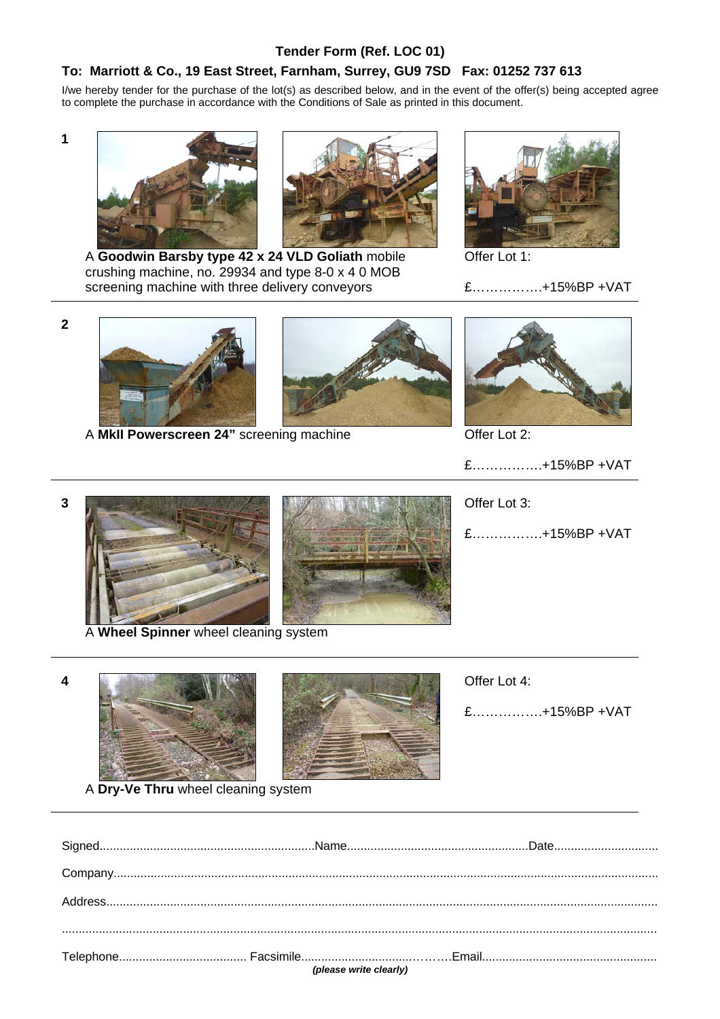## **Tender Form (Ref. LOC 01)**

## **To: Marriott & Co., 19 East Street, Farnham, Surrey, GU9 7SD Fax: 01252 737 613**

I/we hereby tender for the purchase of the lot(s) as described below, and in the event of the offer(s) being accepted agree to complete the purchase in accordance with the Conditions of Sale as printed in this document.

**1** 





A **Goodwin Barsby type 42 x 24 VLD Goliath** mobile crushing machine, no. 29934 and type 8-0 x 4 0 MOB screening machine with three delivery conveyors



Offer Lot 1:

£…………….+15%BP +VAT

**2** 





A **MkII Powerscreen 24"** screening machine **Contact ACCE** Offer Lot 2:



- £…………….+15%BP +VAT
- **3** Offer Lot 3:



A **Wheel Spinner** wheel cleaning system





£…………….+15%BP +VAT





£…………….+15%BP +VAT

|  |  |  |  | A Dry-Ve Thru wheel cleaning system |  |
|--|--|--|--|-------------------------------------|--|
|--|--|--|--|-------------------------------------|--|

|  | $\begin{minipage}[c]{0.9\linewidth} \textbf{Company} \textcolor{red}{\textbf{} \textbf{} \textbf{} \textbf{} \textbf{} \textbf{} \textbf{} \textbf{} \textbf{} \textbf{} \textbf{} \textbf{} \textbf{} \textbf{} \textbf{} \textbf{} \textbf{} \textbf{} \textbf{} \textbf{} \textbf{} \textbf{} \textbf{} \textbf{} \textbf{} \textbf{} \textbf{} \textbf{} \textbf{} \textbf{} \textbf{} \textbf{}$ |
|--|-------------------------------------------------------------------------------------------------------------------------------------------------------------------------------------------------------------------------------------------------------------------------------------------------------------------------------------------------------------------------------------------------------|
|  |                                                                                                                                                                                                                                                                                                                                                                                                       |
|  |                                                                                                                                                                                                                                                                                                                                                                                                       |
|  |                                                                                                                                                                                                                                                                                                                                                                                                       |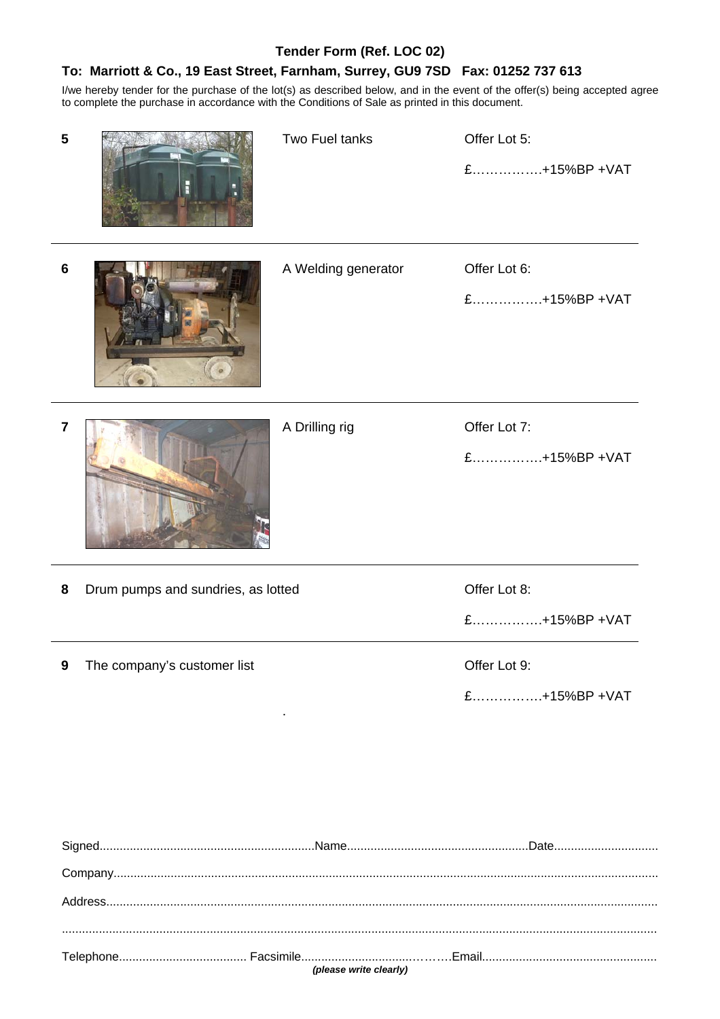## **Tender Form (Ref. LOC 02)**

## **To: Marriott & Co., 19 East Street, Farnham, Surrey, GU9 7SD Fax: 01252 737 613**

I/we hereby tender for the purchase of the lot(s) as described below, and in the event of the offer(s) being accepted agree to complete the purchase in accordance with the Conditions of Sale as printed in this document.

| 5              |                                    | Two Fuel tanks      | Offer Lot 5:<br>£+15%BP +VAT |
|----------------|------------------------------------|---------------------|------------------------------|
| $6\phantom{1}$ |                                    | A Welding generator | Offer Lot 6:<br>£+15%BP +VAT |
| 7              |                                    | A Drilling rig      | Offer Lot 7:<br>£+15%BP +VAT |
| 8              | Drum pumps and sundries, as lotted |                     | Offer Lot 8:<br>£+15%BP +VAT |
|                | The company's customer list        |                     | Offer Lot 9:<br>£+15%BP +VAT |
|                |                                    |                     |                              |
|                |                                    |                     |                              |

*(please write clearly)*